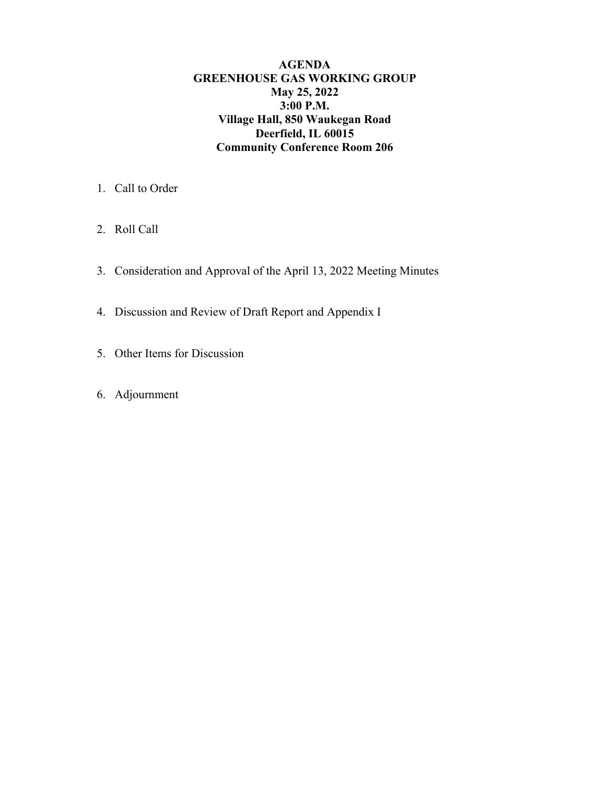**AGENDA GREENHOUSE GAS WORKING GROUP May 25, 2022 3:00 P.M. Village Hall, 850 Waukegan Road Deerfield, IL 60015 Community Conference Room 206** 

- 1. Call to Order
- 2. Roll Call
- 3. Consideration and Approval of the April 13, 2022 Meeting Minutes
- 4. Discussion and Review of Draft Report and Appendix I
- 5. Other Items for Discussion
- 6. Adjournment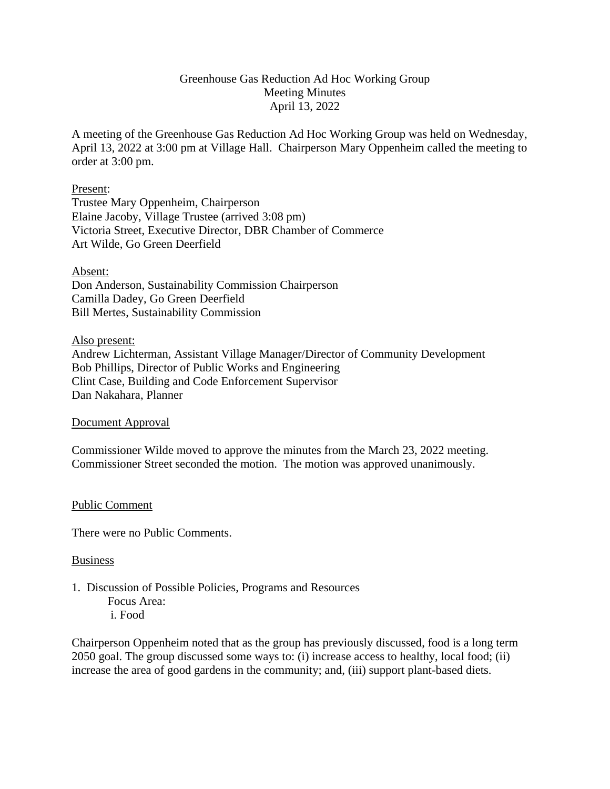#### Greenhouse Gas Reduction Ad Hoc Working Group Meeting Minutes April 13, 2022

A meeting of the Greenhouse Gas Reduction Ad Hoc Working Group was held on Wednesday, April 13, 2022 at 3:00 pm at Village Hall. Chairperson Mary Oppenheim called the meeting to order at 3:00 pm.

#### Present:

Trustee Mary Oppenheim, Chairperson Elaine Jacoby, Village Trustee (arrived 3:08 pm) Victoria Street, Executive Director, DBR Chamber of Commerce Art Wilde, Go Green Deerfield

#### Absent:

Don Anderson, Sustainability Commission Chairperson Camilla Dadey, Go Green Deerfield Bill Mertes, Sustainability Commission

#### Also present:

Andrew Lichterman, Assistant Village Manager/Director of Community Development Bob Phillips, Director of Public Works and Engineering Clint Case, Building and Code Enforcement Supervisor Dan Nakahara, Planner

#### Document Approval

Commissioner Wilde moved to approve the minutes from the March 23, 2022 meeting. Commissioner Street seconded the motion. The motion was approved unanimously.

#### Public Comment

There were no Public Comments.

#### Business

- 1. Discussion of Possible Policies, Programs and Resources Focus Area:
	- i. Food
	-

Chairperson Oppenheim noted that as the group has previously discussed, food is a long term 2050 goal. The group discussed some ways to: (i) increase access to healthy, local food; (ii) increase the area of good gardens in the community; and, (iii) support plant-based diets.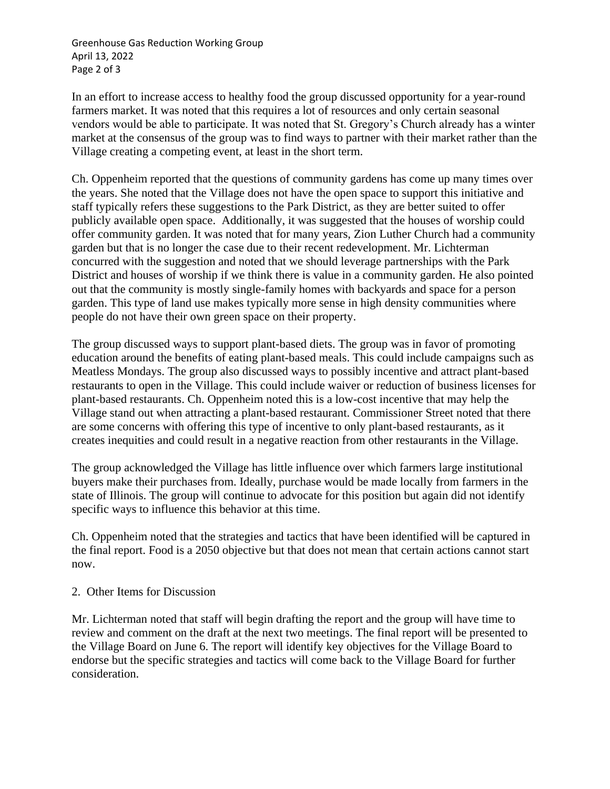Greenhouse Gas Reduction Working Group April 13, 2022 Page 2 of 3

In an effort to increase access to healthy food the group discussed opportunity for a year-round farmers market. It was noted that this requires a lot of resources and only certain seasonal vendors would be able to participate. It was noted that St. Gregory's Church already has a winter market at the consensus of the group was to find ways to partner with their market rather than the Village creating a competing event, at least in the short term.

Ch. Oppenheim reported that the questions of community gardens has come up many times over the years. She noted that the Village does not have the open space to support this initiative and staff typically refers these suggestions to the Park District, as they are better suited to offer publicly available open space. Additionally, it was suggested that the houses of worship could offer community garden. It was noted that for many years, Zion Luther Church had a community garden but that is no longer the case due to their recent redevelopment. Mr. Lichterman concurred with the suggestion and noted that we should leverage partnerships with the Park District and houses of worship if we think there is value in a community garden. He also pointed out that the community is mostly single-family homes with backyards and space for a person garden. This type of land use makes typically more sense in high density communities where people do not have their own green space on their property.

The group discussed ways to support plant-based diets. The group was in favor of promoting education around the benefits of eating plant-based meals. This could include campaigns such as Meatless Mondays. The group also discussed ways to possibly incentive and attract plant-based restaurants to open in the Village. This could include waiver or reduction of business licenses for plant-based restaurants. Ch. Oppenheim noted this is a low-cost incentive that may help the Village stand out when attracting a plant-based restaurant. Commissioner Street noted that there are some concerns with offering this type of incentive to only plant-based restaurants, as it creates inequities and could result in a negative reaction from other restaurants in the Village.

The group acknowledged the Village has little influence over which farmers large institutional buyers make their purchases from. Ideally, purchase would be made locally from farmers in the state of Illinois. The group will continue to advocate for this position but again did not identify specific ways to influence this behavior at this time.

Ch. Oppenheim noted that the strategies and tactics that have been identified will be captured in the final report. Food is a 2050 objective but that does not mean that certain actions cannot start now.

#### 2. Other Items for Discussion

Mr. Lichterman noted that staff will begin drafting the report and the group will have time to review and comment on the draft at the next two meetings. The final report will be presented to the Village Board on June 6. The report will identify key objectives for the Village Board to endorse but the specific strategies and tactics will come back to the Village Board for further consideration.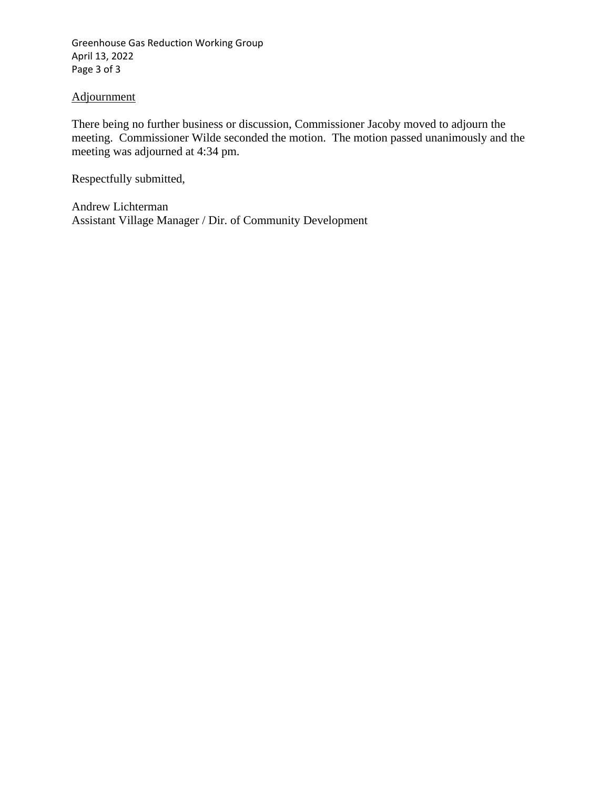Greenhouse Gas Reduction Working Group April 13, 2022 Page 3 of 3

#### Adjournment

There being no further business or discussion, Commissioner Jacoby moved to adjourn the meeting. Commissioner Wilde seconded the motion. The motion passed unanimously and the meeting was adjourned at 4:34 pm.

Respectfully submitted,

Andrew Lichterman Assistant Village Manager / Dir. of Community Development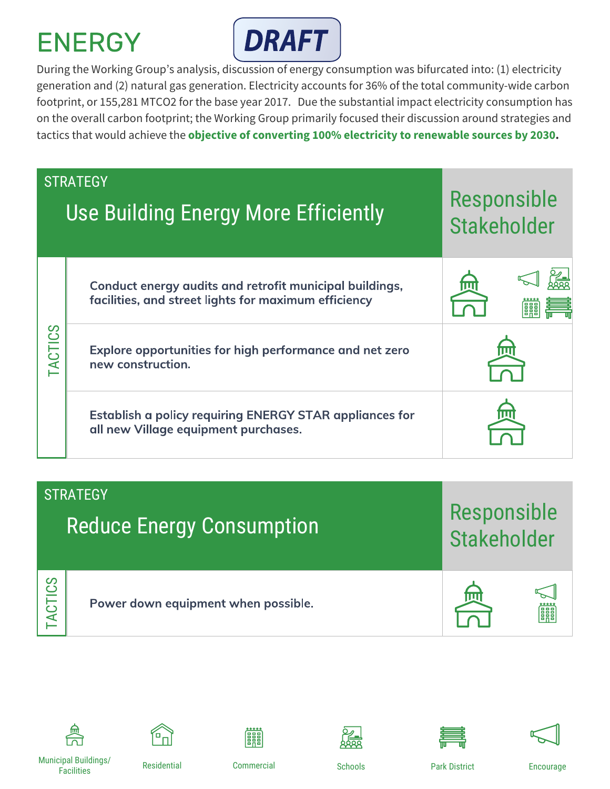

During the Working Group's analysis, discussion of energy consumption was bifurcated into: (1) electricity generation and (2) natural gas generation. Electricity accounts for 36% of the total community-wide carbon footprint, or 155,281 MTCO2 for the base year 2017. Due the substantial impact electricity consumption has on the overall carbon footprint; the Working Group primarily focused their discussion around strategies and tactics that would achieve the **objective of converting 100% electricity to renewable sources by 2030.**

|         | <b>STRATEGY</b><br>Use Building Energy More Efficiently                                                         | Responsible<br>Stakeholder |
|---------|-----------------------------------------------------------------------------------------------------------------|----------------------------|
|         | Conduct energy audits and retrofit municipal buildings,<br>facilities, and street lights for maximum efficiency | 俪                          |
| TACTICS | Explore opportunities for high performance and net zero<br>new construction.                                    |                            |
|         | Establish a policy requiring ENERGY STAR appliances for<br>all new Village equipment purchases.                 |                            |

**Reduce Energy Consumption STRATEGY** TACTICS Power down equipment when possible. Responsible **Stakeholder** 















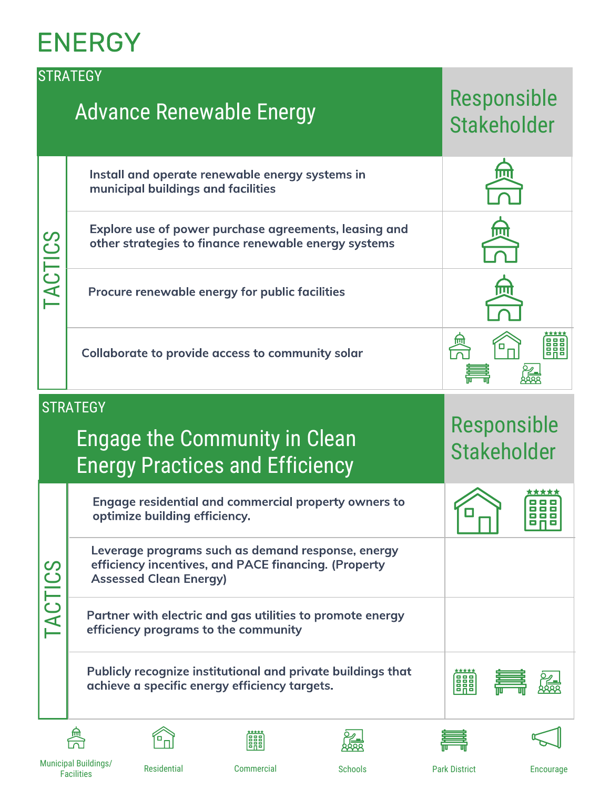|               | <b>STRATEGY</b><br><b>Advance Renewable Energy</b>                                                                                         | Responsible<br><b>Stakeholder</b> |
|---------------|--------------------------------------------------------------------------------------------------------------------------------------------|-----------------------------------|
|               | Install and operate renewable energy systems in<br>municipal buildings and facilities                                                      |                                   |
| <b>SJILOY</b> | Explore use of power purchase agreements, leasing and<br>other strategies to finance renewable energy systems                              | 俪                                 |
|               | Procure renewable energy for public facilities                                                                                             |                                   |
|               | Collaborate to provide access to community solar                                                                                           | <b>FRE</b>                        |
|               | <b>STRATEGY</b>                                                                                                                            |                                   |
|               | <b>Engage the Community in Clean</b><br><b>Energy Practices and Efficiency</b>                                                             | Responsible<br><b>Stakeholder</b> |
|               | Engage residential and commercial property owners to<br>optimize building efficiency.                                                      |                                   |
|               | Leverage programs such as demand response, energy<br>efficiency incentives, and PACE financing. (Property<br><b>Assessed Clean Energy)</b> |                                   |
| TACTICS       | Partner with electric and gas utilities to promote energy<br>efficiency programs to the community                                          |                                   |
|               | Publicly recognize institutional and private buildings that<br>achieve a specific energy efficiency targets.                               | *****<br><b>BAB</b>               |
|               | 騆                                                                                                                                          |                                   |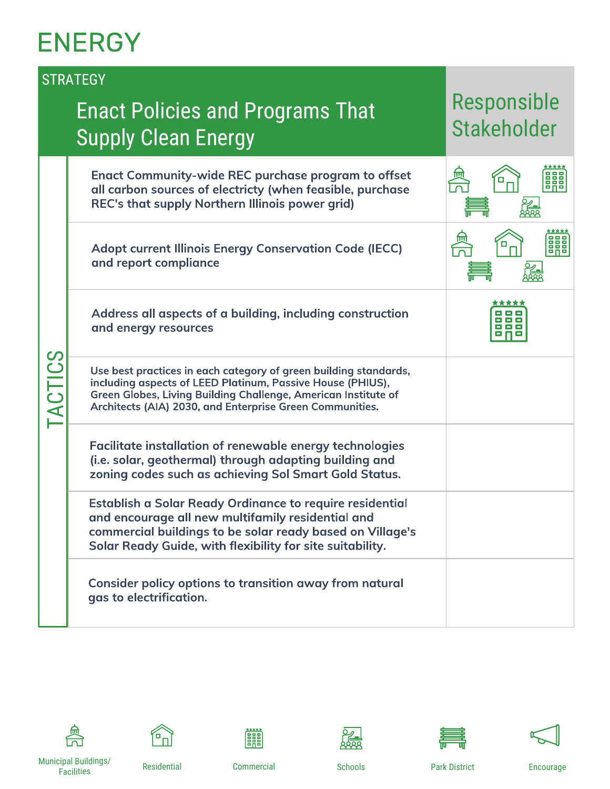|         | <b>STRATEGY</b>                                                                                                                                                                                                                                              |                                   |
|---------|--------------------------------------------------------------------------------------------------------------------------------------------------------------------------------------------------------------------------------------------------------------|-----------------------------------|
|         | <b>Enact Policies and Programs That</b><br><b>Supply Clean Energy</b>                                                                                                                                                                                        | Responsible<br><b>Stakeholder</b> |
|         | <b>Enact Community-wide REC purchase program to offset</b><br>all carbon sources of electricty (when feasible, purchase<br>REC's that supply Northern Illinois power grid)                                                                                   | 卹<br>888<br>о                     |
|         | <b>Adopt current Illinois Energy Conservation Code (IECC)</b><br>and report compliance                                                                                                                                                                       | 888                               |
|         | Address all aspects of a building, including construction<br>and energy resources                                                                                                                                                                            |                                   |
| TACTICS | Use best practices in each category of green building standards,<br>including aspects of LEED Platinum, Passive House (PHIUS),<br>Green Globes, Living Building Challenge, American Institute of<br>Architects (AIA) 2030, and Enterprise Green Communities. |                                   |
|         | <b>Facilitate installation of renewable energy technologies</b><br>(i.e. solar, geothermal) through adapting building and<br>zoning codes such as achieving Sol Smart Gold Status.                                                                           |                                   |
|         | Establish a Solar Ready Ordinance to require residential<br>and encourage all new multifamily residential and<br>commercial buildings to be solar ready based on Village's<br>Solar Ready Guide, with flexibility for site suitability.                      |                                   |
|         | Consider policy options to transition away from natural<br>gas to electrification.                                                                                                                                                                           |                                   |















Municipal Buildings/ Facilities Residential Commercial Schools Park District Encourage

籣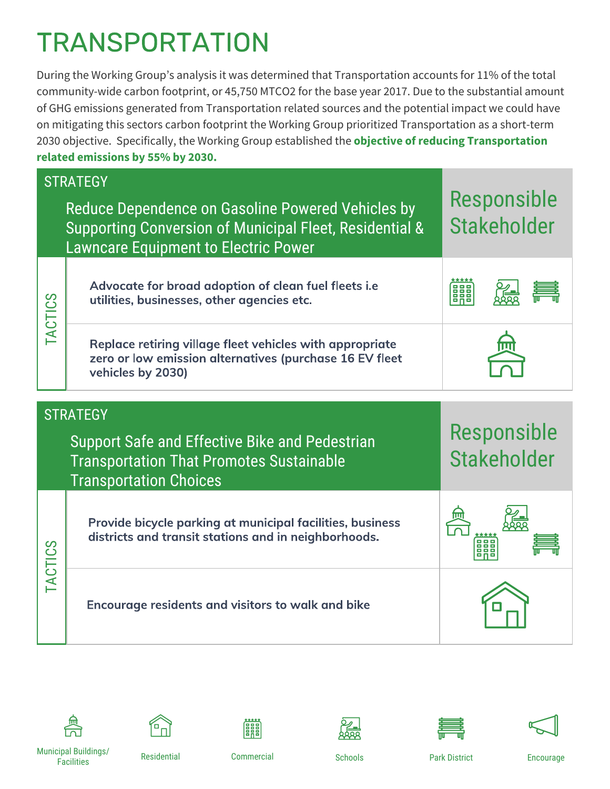# **TRANSPORTATION**

During the Working Group's analysis it was determined that Transportation accounts for 11% of the total community-wide carbon footprint, or 45,750 MTCO2 for the base year 2017. Due to the substantial amount of GHG emissions generated from Transportation related sources and the potential impact we could have on mitigating this sectors carbon footprint the Working Group prioritized Transportation as a short-term 2030 objective. Specifically, the Working Group established the **objective of reducing Transportation related emissions by 55% by 2030.**

|                | <b>STRATEGY</b>                                                                                                                                             |                                   |  |
|----------------|-------------------------------------------------------------------------------------------------------------------------------------------------------------|-----------------------------------|--|
|                | Reduce Dependence on Gasoline Powered Vehicles by<br>Supporting Conversion of Municipal Fleet, Residential &<br><b>Lawncare Equipment to Electric Power</b> | Responsible<br><b>Stakeholder</b> |  |
| <b>TACTICS</b> | Advocate for broad adoption of clean fuel fleets i.e<br>utilities, businesses, other agencies etc.                                                          | 鼺                                 |  |
|                | Replace retiring village fleet vehicles with appropriate<br>zero or low emission alternatives (purchase 16 EV fleet<br>vehicles by 2030)                    |                                   |  |
|                | <b>STRATEGY</b>                                                                                                                                             |                                   |  |
|                |                                                                                                                                                             |                                   |  |
|                | Support Safe and Effective Bike and Pedestrian<br><b>Transportation That Promotes Sustainable</b><br><b>Transportation Choices</b>                          | Responsible<br><b>Stakeholder</b> |  |
| TACTICS        | Provide bicycle parking at municipal facilities, business<br>districts and transit stations and in neighborhoods.                                           |                                   |  |















Municipal Buildings/ Facilities Residential Commercial Schools Park District Encourage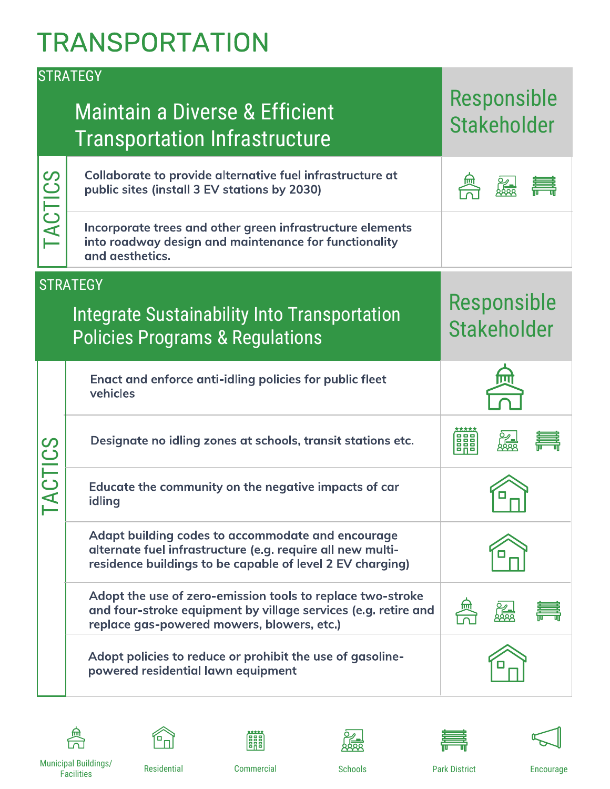### **TRANSPORTATION**

|                | <b>STRATEGY</b>                                                                                                                                                              |                                   |
|----------------|------------------------------------------------------------------------------------------------------------------------------------------------------------------------------|-----------------------------------|
|                | <b>Maintain a Diverse &amp; Efficient</b><br><b>Transportation Infrastructure</b>                                                                                            | Responsible<br><b>Stakeholder</b> |
| TACTICS        | Collaborate to provide alternative fuel infrastructure at<br>public sites (install 3 EV stations by 2030)                                                                    |                                   |
|                | Incorporate trees and other green infrastructure elements<br>into roadway design and maintenance for functionality<br>and aesthetics.                                        |                                   |
|                | <b>STRATEGY</b>                                                                                                                                                              |                                   |
|                | <b>Integrate Sustainability Into Transportation</b><br><b>Policies Programs &amp; Regulations</b>                                                                            | Responsible<br><b>Stakeholder</b> |
|                | Enact and enforce anti-idling policies for public fleet<br>vehicles                                                                                                          |                                   |
|                | Designate no idling zones at schools, transit stations etc.                                                                                                                  | 關                                 |
| <b>TACTICS</b> | Educate the community on the negative impacts of car<br>idling                                                                                                               |                                   |
|                | Adapt building codes to accommodate and encourage<br>alternate fuel infrastructure (e.g. require all new multi-<br>residence buildings to be capable of level 2 EV charging) |                                   |
|                | Adopt the use of zero-emission tools to replace two-stroke<br>and four-stroke equipment by village services (e.g. retire and<br>replace gas-powered mowers, blowers, etc.)   |                                   |
|                | Adopt policies to reduce or prohibit the use of gasoline-<br>powered residential lawn equipment                                                                              |                                   |















Municipal Buildings/ Facilities Residential Commercial Schools Park District Encourage

**Extra**<br>Band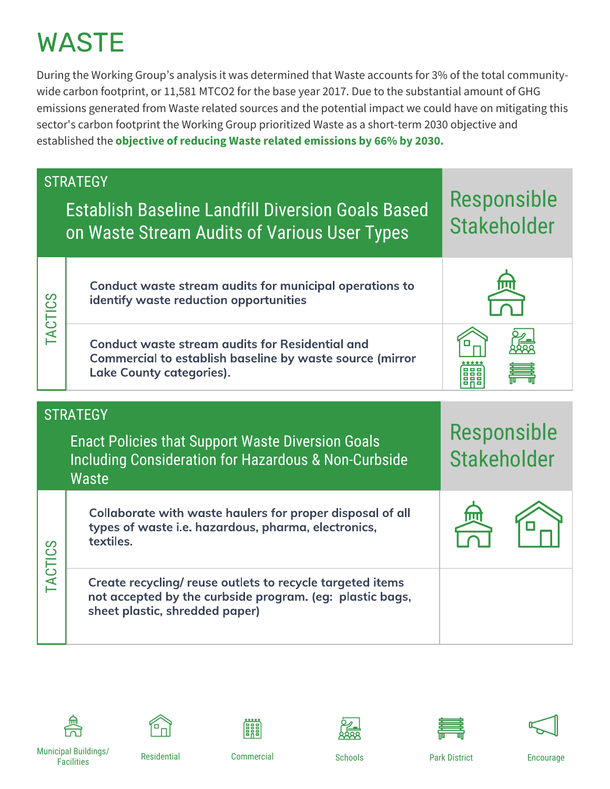During the Working Group's analysis it was determined that Waste accounts for 3% of the total communitywide carbon footprint, or 11,581 MTCO2 for the base year 2017. Due to the substantial amount of GHG emissions generated from Waste related sources and the potential impact we could have on mitigating this sector's carbon footprint the Working Group prioritized Waste as a short-term 2030 objective and established the **objective of reducing Waste related emissions by 66% by 2030.**

|                | <b>STRATEGY</b><br><b>Establish Baseline Landfill Diversion Goals Based</b><br>on Waste Stream Audits of Various User Types                             | Responsible<br><b>Stakeholder</b>        |
|----------------|---------------------------------------------------------------------------------------------------------------------------------------------------------|------------------------------------------|
| <b>TACTICS</b> | Conduct waste stream audits for municipal operations to<br>identify waste reduction opportunities                                                       |                                          |
|                | <b>Conduct waste stream audits for Residential and</b><br>Commercial to establish baseline by waste source (mirror<br><b>Lake County categories).</b>   | ana<br>ana                               |
|                | <b>STRATEGY</b>                                                                                                                                         |                                          |
|                | <b>Enact Policies that Support Waste Diversion Goals</b><br>Including Consideration for Hazardous & Non-Curbside<br><b>Waste</b>                        | <b>Responsible</b><br><b>Stakeholder</b> |
|                | Collaborate with waste haulers for proper disposal of all<br>types of waste i.e. hazardous, pharma, electronics,<br>textiles.                           |                                          |
| <b>TACTICS</b> | Create recycling/ reuse outlets to recycle targeted items<br>not accepted by the curbside program. (eg: plastic bags,<br>sheet plastic, shredded paper) |                                          |











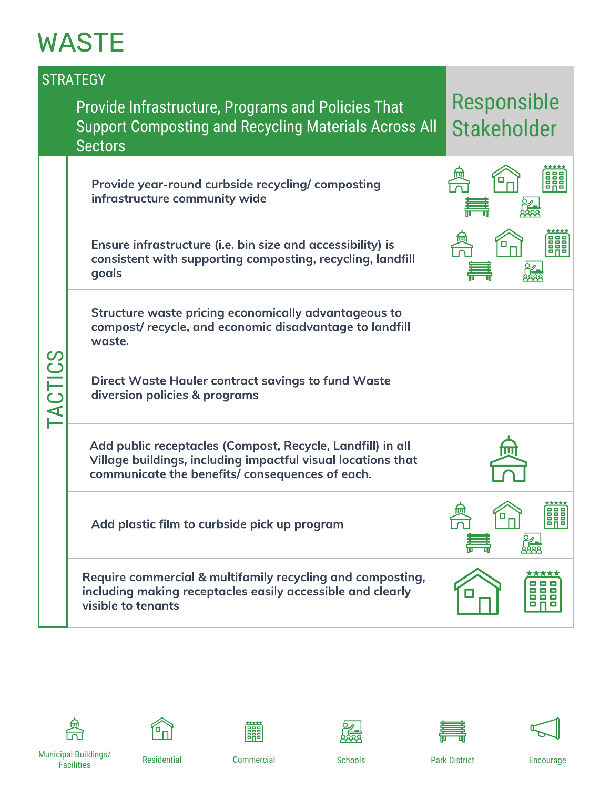|                | <b>STRATEGY</b>                                                                                                                                                              |                                   |
|----------------|------------------------------------------------------------------------------------------------------------------------------------------------------------------------------|-----------------------------------|
|                | <b>Provide Infrastructure, Programs and Policies That</b><br><b>Support Composting and Recycling Materials Across All</b><br><b>Sectors</b>                                  | Responsible<br><b>Stakeholder</b> |
|                | Provide year-round curbside recycling/composting<br>infrastructure community wide                                                                                            |                                   |
|                | Ensure infrastructure (i.e. bin size and accessibility) is<br>consistent with supporting composting, recycling, landfill<br>goals                                            | 0                                 |
|                | Structure waste pricing economically advantageous to<br>compost/recycle, and economic disadvantage to landfill<br>waste.                                                     |                                   |
| <b>TACTICS</b> | <b>Direct Waste Hauler contract savings to fund Waste</b><br>diversion policies & programs                                                                                   |                                   |
|                | Add public receptacles (Compost, Recycle, Landfill) in all<br>Village buildings, including impactful visual locations that<br>communicate the benefits/consequences of each. |                                   |
|                | Add plastic film to curbside pick up program                                                                                                                                 | ଳ<br><b>BAB</b><br>ο<br>飍         |
|                | Require commercial & multifamily recycling and composting,<br>including making receptacles easily accessible and clearly<br>visible to tenants                               | *****<br>86 G                     |















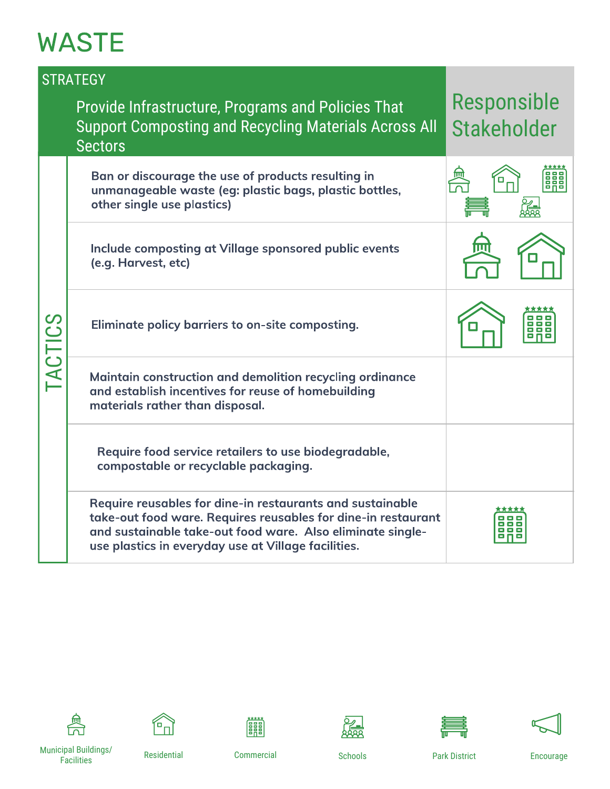|                | <b>STRATEGY</b>                                                                                                                                                                                                                                 |                                   |
|----------------|-------------------------------------------------------------------------------------------------------------------------------------------------------------------------------------------------------------------------------------------------|-----------------------------------|
|                | <b>Provide Infrastructure, Programs and Policies That</b><br><b>Support Composting and Recycling Materials Across All</b><br><b>Sectors</b>                                                                                                     | Responsible<br><b>Stakeholder</b> |
|                | Ban or discourage the use of products resulting in<br>unmanageable waste (eg: plastic bags, plastic bottles,<br>other single use plastics)                                                                                                      |                                   |
|                | Include composting at Village sponsored public events<br>(e.g. Harvest, etc)                                                                                                                                                                    |                                   |
| <b>TACTICS</b> | Eliminate policy barriers to on-site composting.                                                                                                                                                                                                |                                   |
|                | Maintain construction and demolition recycling ordinance<br>and establish incentives for reuse of homebuilding<br>materials rather than disposal.                                                                                               |                                   |
|                | Require food service retailers to use biodegradable,<br>compostable or recyclable packaging.                                                                                                                                                    |                                   |
|                | Require reusables for dine-in restaurants and sustainable<br>take-out food ware. Requires reusables for dine-in restaurant<br>and sustainable take-out food ware. Also eliminate single-<br>use plastics in everyday use at Village facilities. |                                   |











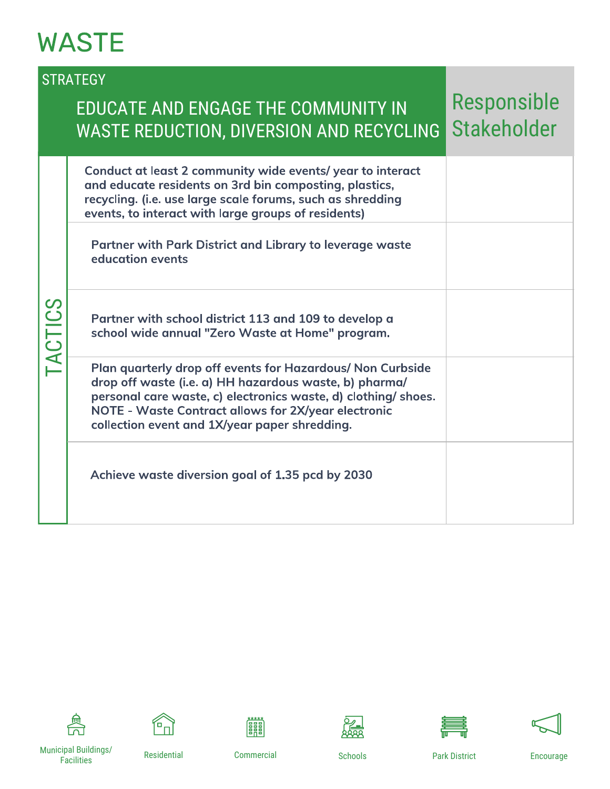#### **STRATEGY**

#### EDUCATE AND ENGAGE THE COMMUNITY IN WASTE REDUCTION, DIVERSION AND RECYCLING

#### Responsible Stakeholder

|         | Conduct at least 2 community wide events/year to interact<br>and educate residents on 3rd bin composting, plastics,<br>recycling. (i.e. use large scale forums, such as shredding<br>events, to interact with large groups of residents)                                                       |  |
|---------|------------------------------------------------------------------------------------------------------------------------------------------------------------------------------------------------------------------------------------------------------------------------------------------------|--|
|         | Partner with Park District and Library to leverage waste<br>education events                                                                                                                                                                                                                   |  |
| TACTICS | Partner with school district 113 and 109 to develop a<br>school wide annual "Zero Waste at Home" program.                                                                                                                                                                                      |  |
|         | Plan quarterly drop off events for Hazardous/ Non Curbside<br>drop off waste (i.e. a) HH hazardous waste, b) pharma/<br>personal care waste, c) electronics waste, d) clothing/ shoes.<br>NOTE - Waste Contract allows for 2X/year electronic<br>collection event and 1X/year paper shredding. |  |
|         | Achieve waste diversion goal of 1.35 pcd by 2030                                                                                                                                                                                                                                               |  |











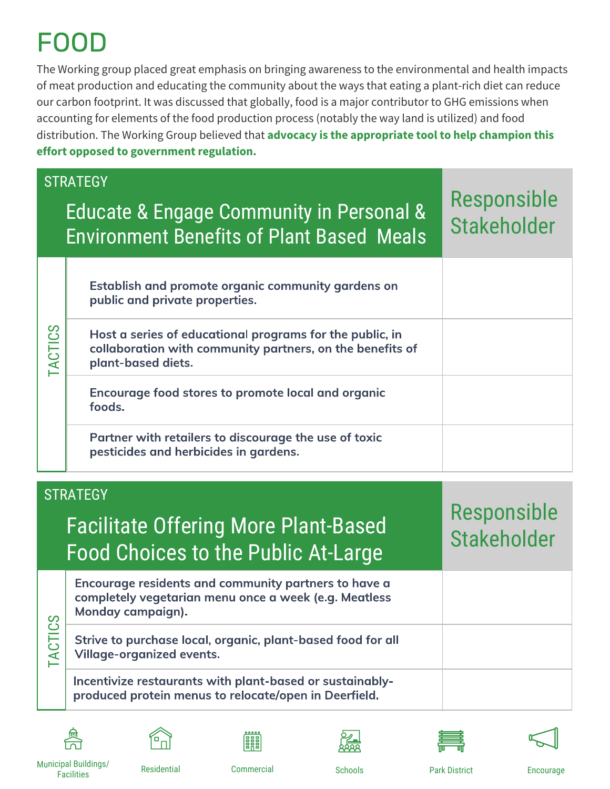## FOOL

The Working group placed great emphasis on bringing awareness to the environmental and health impacts of meat production and educating the community about the ways that eating a plant-rich diet can reduce our carbon footprint. It was discussed that globally, food is a major contributor to GHG emissions when accounting for elements of the food production process (notably the way land is utilized) and food distribution. The Working Group believed that **advocacy is the appropriate tool to help champion this effort opposed to government regulation.** 

|                | <b>STRATEGY</b><br><b>Educate &amp; Engage Community in Personal &amp;</b><br><b>Environment Benefits of Plant Based Meals</b>              | Responsible<br><b>Stakeholder</b> |
|----------------|---------------------------------------------------------------------------------------------------------------------------------------------|-----------------------------------|
| <b>TACTICS</b> | Establish and promote organic community gardens on<br>public and private properties.                                                        |                                   |
|                | Host a series of educational programs for the public, in<br>collaboration with community partners, on the benefits of<br>plant-based diets. |                                   |
|                | Encourage food stores to promote local and organic<br>foods.                                                                                |                                   |
|                | Partner with retailers to discourage the use of toxic<br>pesticides and herbicides in gardens.                                              |                                   |

| <b>STRATEGY</b><br><b>Facilitate Offering More Plant-Based</b><br><b>Food Choices to the Public At-Large</b> |                                                                                                                                    | <b>Responsible</b><br>Stakeholder |
|--------------------------------------------------------------------------------------------------------------|------------------------------------------------------------------------------------------------------------------------------------|-----------------------------------|
|                                                                                                              | Encourage residents and community partners to have a<br>completely vegetarian menu once a week (e.g. Meatless<br>Monday campaign). |                                   |
| <b>ACTICS</b>                                                                                                | Strive to purchase local, organic, plant-based food for all<br><b>Village-organized events.</b>                                    |                                   |
|                                                                                                              | Incentivize restaurants with plant-based or sustainably-<br>produced protein menus to relocate/open in Deerfield.                  |                                   |













Municipal Buildings/ Facilities Residential Commercial Schools Park District Encourage

謂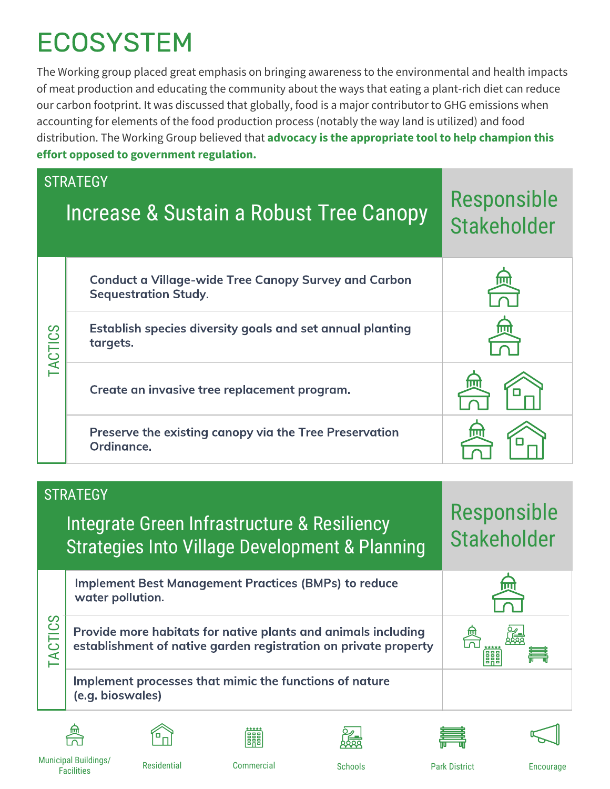# ECOSYSTEM

The Working group placed great emphasis on bringing awareness to the environmental and health impacts of meat production and educating the community about the ways that eating a plant-rich diet can reduce our carbon footprint. It was discussed that globally, food is a major contributor to GHG emissions when accounting for elements of the food production process (notably the way land is utilized) and food distribution. The Working Group believed that **advocacy is the appropriate tool to help champion this effort opposed to government regulation.** 

|                | <b>STRATEGY</b><br>Increase & Sustain a Robust Tree Canopy                                 | Responsible<br><b>Stakeholder</b> |
|----------------|--------------------------------------------------------------------------------------------|-----------------------------------|
|                | <b>Conduct a Village-wide Tree Canopy Survey and Carbon</b><br><b>Sequestration Study.</b> |                                   |
| <b>TACTICS</b> | Establish species diversity goals and set annual planting<br>targets.                      | 冚                                 |
|                | Create an invasive tree replacement program.                                               |                                   |
|                | Preserve the existing canopy via the Tree Preservation<br>Ordinance.                       |                                   |

|                | <b>STRATEGY</b><br>Integrate Green Infrastructure & Resiliency<br><b>Strategies Into Village Development &amp; Planning</b>      | Responsible<br>Stakeholder |
|----------------|----------------------------------------------------------------------------------------------------------------------------------|----------------------------|
|                | <b>Implement Best Management Practices (BMPs) to reduce</b><br>water pollution.                                                  |                            |
| <b>TACTICS</b> | Provide more habitats for native plants and animals including<br>establishment of native garden registration on private property | 888                        |
|                | Implement processes that mimic the functions of nature<br>(e.g. bioswales)                                                       |                            |













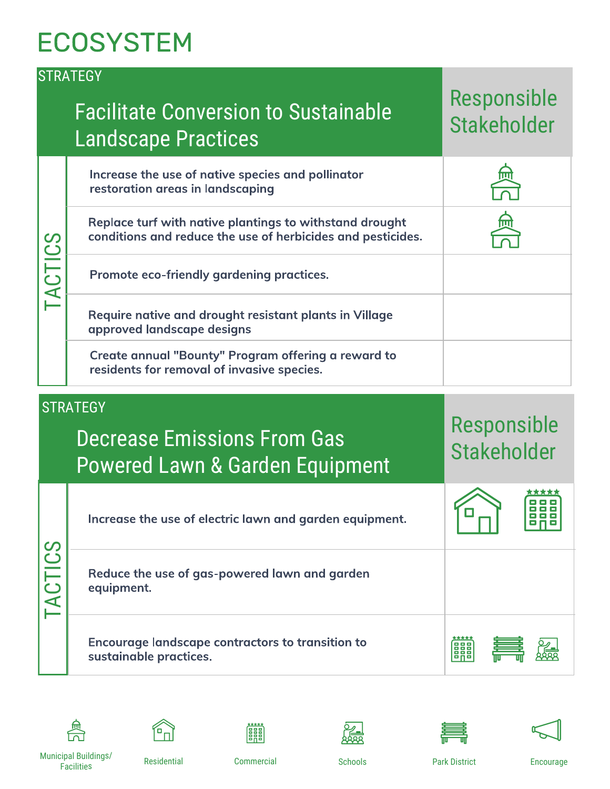### **ECOSYSTEM**

|                | <b>STRATEGY</b><br><b>Facilitate Conversion to Sustainable</b><br><b>Landscape Practices</b>                           | Responsible<br><b>Stakeholder</b> |
|----------------|------------------------------------------------------------------------------------------------------------------------|-----------------------------------|
|                | Increase the use of native species and pollinator<br>restoration areas in landscaping                                  |                                   |
|                | Replace turf with native plantings to withstand drought<br>conditions and reduce the use of herbicides and pesticides. |                                   |
| <b>TACTICS</b> | Promote eco-friendly gardening practices.                                                                              |                                   |
|                | Require native and drought resistant plants in Village<br>approved landscape designs                                   |                                   |
|                | Create annual "Bounty" Program offering a reward to<br>residents for removal of invasive species.                      |                                   |
|                |                                                                                                                        |                                   |
|                | <b>STRATEGY</b><br><b>Decrease Emissions From Gas</b><br><b>Powered Lawn &amp; Garden Equipment</b>                    | Responsible<br><b>Stakeholder</b> |
|                | Increase the use of electric lawn and garden equipment.                                                                |                                   |
| TACTICS        | Reduce the use of gas-powered lawn and garden<br>equipment.                                                            |                                   |













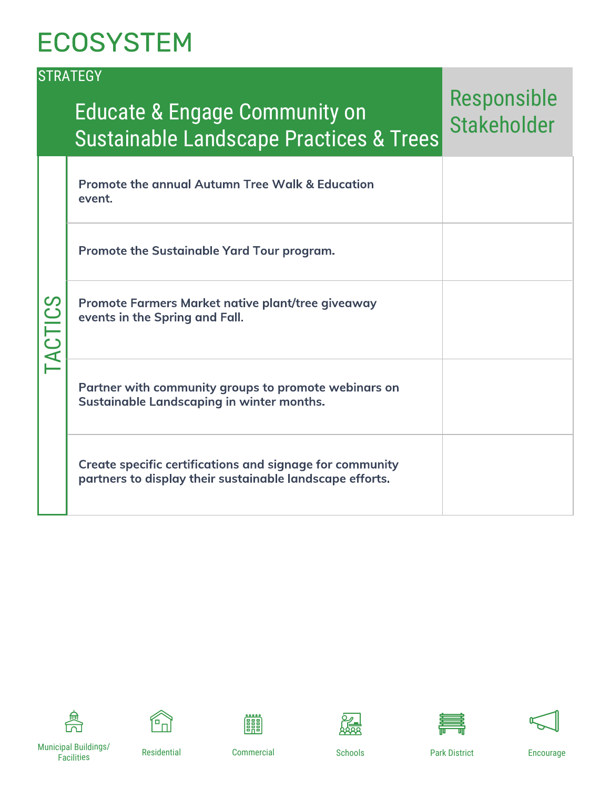### **ECOSYSTEM**

|                | <b>STRATEGY</b>                                                                                                      |                                   |
|----------------|----------------------------------------------------------------------------------------------------------------------|-----------------------------------|
|                | <b>Educate &amp; Engage Community on</b><br><b>Sustainable Landscape Practices &amp; Trees</b>                       | Responsible<br><b>Stakeholder</b> |
|                | <b>Promote the annual Autumn Tree Walk &amp; Education</b><br>event.                                                 |                                   |
|                | Promote the Sustainable Yard Tour program.                                                                           |                                   |
| <b>TACTICS</b> | Promote Farmers Market native plant/tree giveaway<br>events in the Spring and Fall.                                  |                                   |
|                | Partner with community groups to promote webinars on<br>Sustainable Landscaping in winter months.                    |                                   |
|                | Create specific certifications and signage for community<br>partners to display their sustainable landscape efforts. |                                   |















Municipal Buildings/ Facilities Residential Commercial Schools Park District Encourage

**Fill**